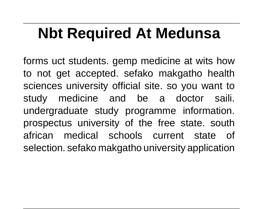# **Nbt Required At Medunsa**

forms uct students. gemp medicine at wits how to not get accepted. sefako makgatho health sciences university official site. so you want to study medicine and be a doctor saili. undergraduate study programme information. prospectus university of the free state. south african medical schools current state of selection. sefako makgatho university application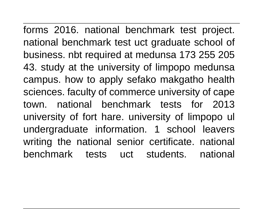forms 2016. national benchmark test project. national benchmark test uct graduate school of business. nbt required at medunsa 173 255 205 43. study at the university of limpopo medunsa campus. how to apply sefako makgatho health sciences. faculty of commerce university of cape town. national benchmark tests for 2013 university of fort hare. university of limpopo ul undergraduate information. 1 school leavers writing the national senior certificate. national benchmark tests uct students. national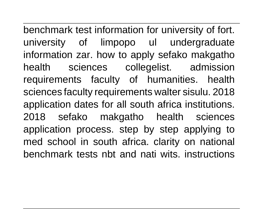benchmark test information for university of fort. university of limpopo ul undergraduate information zar. how to apply sefako makgatho health sciences collegelist. admission requirements faculty of humanities. health sciences faculty requirements walter sisulu. 2018 application dates for all south africa institutions. 2018 sefako makgatho health sciences application process. step by step applying to med school in south africa. clarity on national benchmark tests nbt and nati wits. instructions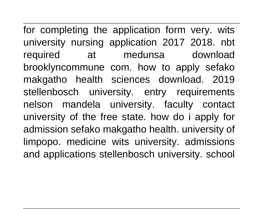for completing the application form very. wits university nursing application 2017 2018. nbt required at medunsa download brooklyncommune com. how to apply sefako makgatho health sciences download. 2019 stellenbosch university. entry requirements nelson mandela university. faculty contact university of the free state. how do i apply for admission sefako makgatho health. university of limpopo. medicine wits university. admissions and applications stellenbosch university. school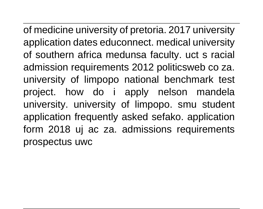of medicine university of pretoria. 2017 university application dates educonnect. medical university of southern africa medunsa faculty. uct s racial admission requirements 2012 politicsweb co za. university of limpopo national benchmark test project. how do i apply nelson mandela university. university of limpopo. smu student application frequently asked sefako. application form 2018 uj ac za. admissions requirements prospectus uwc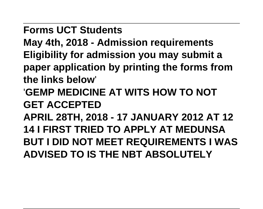**Forms UCT Students**

**May 4th, 2018 - Admission requirements Eligibility for admission you may submit a paper application by printing the forms from the links below**'

'**GEMP MEDICINE AT WITS HOW TO NOT GET ACCEPTED**

**APRIL 28TH, 2018 - 17 JANUARY 2012 AT 12 14 I FIRST TRIED TO APPLY AT MEDUNSA BUT I DID NOT MEET REQUIREMENTS I WAS ADVISED TO IS THE NBT ABSOLUTELY**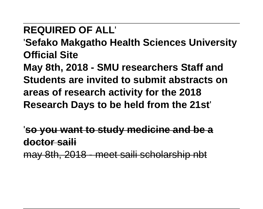# **REQUIRED OF ALL**'

'**Sefako Makgatho Health Sciences University Official Site**

**May 8th, 2018 - SMU researchers Staff and Students are invited to submit abstracts on areas of research activity for the 2018 Research Days to be held from the 21st**'

'**so you want to study medicine and be a doctor saili**

may 8th, 2018 - meet saili scholarship nbt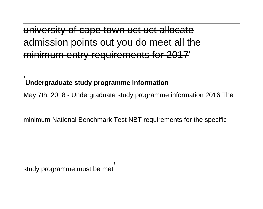<del>cape town uct</del> points out you do meet all the micry requirements for 2017'

#### '**Undergraduate study programme information**

May 7th, 2018 - Undergraduate study programme information 2016 The

minimum National Benchmark Test NBT requirements for the specific

study programme must be met'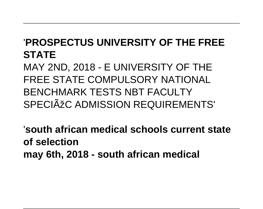#### '**PROSPECTUS UNIVERSITY OF THE FREE STATE**

MAY 2ND, 2018 - E UNIVERSITY OF THE FREE STATE COMPULSORY NATIONAL BENCHMARK TESTS NBT FACULTY SPECIÃŽO ADMISSION REQUIREMENTS'

'**south african medical schools current state of selection may 6th, 2018 - south african medical**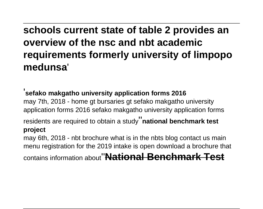**schools current state of table 2 provides an overview of the nsc and nbt academic requirements formerly university of limpopo medunsa**'

'**sefako makgatho university application forms 2016** may 7th, 2018 - home gt bursaries gt sefako makgatho university application forms 2016 sefako makgatho university application forms residents are required to obtain a study''**national benchmark test project** may 6th, 2018 - nbt brochure what is in the nbts blog contact us main menu registration for the 2019 intake is open download a brochure that

contains information about''**National Benchmark Test**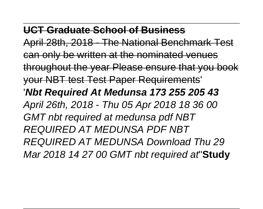#### **UCT Graduate School of Business**

April 28th, 2018 - The National Benchmark can only be written at the nominated venues throughout the year Please ensure that you book your NBT test Test Paper Requirements' '**Nbt Required At Medunsa 173 255 205 43** April 26th, 2018 - Thu 05 Apr 2018 18 36 00 GMT nbt required at medunsa pdf NBT REQUIRED AT MEDUNSA PDF NBT REQUIRED AT MEDUNSA Download Thu 29 Mar 2018 14 27 00 GMT nbt required at''**Study**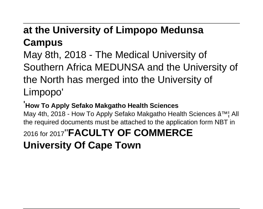## **at the University of Limpopo Medunsa Campus**

May 8th, 2018 - The Medical University of Southern Africa MEDUNSA and the University of the North has merged into the University of Limpopo'

#### '**How To Apply Sefako Makgatho Health Sciences**

May 4th, 2018 - How To Apply Sefako Makgatho Health Sciences ♦ All the required documents must be attached to the application form NBT in 2016 for 2017''**FACULTY OF COMMERCE University Of Cape Town**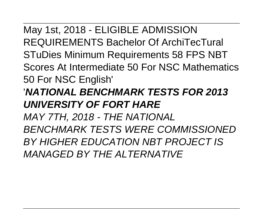May 1st, 2018 - ELIGIBLE ADMISSION REQUIREMENTS Bachelor Of ArchiTecTural STuDies Minimum Requirements 58 FPS NBT Scores At Intermediate 50 For NSC Mathematics 50 For NSC English' '**NATIONAL BENCHMARK TESTS FOR 2013 UNIVERSITY OF FORT HARE** MAY 7TH, 2018 - THE NATIONAL BENCHMARK TESTS WERE COMMISSIONED BY HIGHER EDUCATION NBT PROJECT IS MANAGED BY THE ALTERNATIVE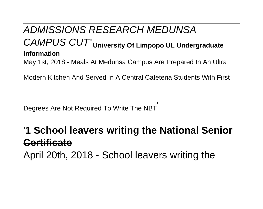#### ADMISSIONS RESEARCH MEDUNSA CAMPUS CUT''**University Of Limpopo UL Undergraduate Information** May 1st, 2018 - Meals At Medunsa Campus Are Prepared In An Ultra

Modern Kitchen And Served In A Central Cafeteria Students With First

Degrees Are Not Required To Write The NBT'

# '**1 School leavers writing the National Senior Certificate**

April 20th, 2018 - School leavers writing the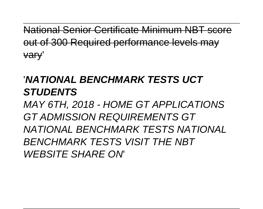National Senior Certificate Minimum NBT out of 300 Required performance levels may vary'

#### '**NATIONAL BENCHMARK TESTS UCT STUDENTS**

MAY 6TH, 2018 - HOME GT APPLICATIONS GT ADMISSION REQUIREMENTS GT NATIONAL BENCHMARK TESTS NATIONAL BENCHMARK TESTS VISIT THE NBT WEBSITE SHARE ON'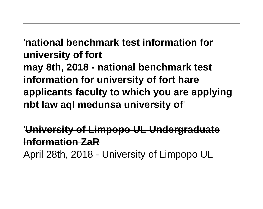'**national benchmark test information for university of fort may 8th, 2018 - national benchmark test information for university of fort hare applicants faculty to which you are applying nbt law aql medunsa university of**'

'**University of Limpopo UL Undergraduate Information ZaR**

April 28th, 2018 - University of Limpopo UL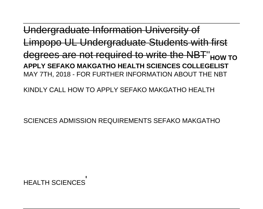araduate Limpopo UL Undergraduate Students with first degrees are not required to write the NBT''**HOW TO APPLY SEFAKO MAKGATHO HEALTH SCIENCES COLLEGELIST** MAY 7TH, 2018 - FOR FURTHER INFORMATION ABOUT THE NBT

KINDLY CALL HOW TO APPLY SEFAKO MAKGATHO HEALTH

SCIENCES ADMISSION REQUIREMENTS SEFAKO MAKGATHO

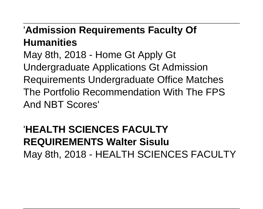#### '**Admission Requirements Faculty Of Humanities**

May 8th, 2018 - Home Gt Apply Gt Undergraduate Applications Gt Admission Requirements Undergraduate Office Matches The Portfolio Recommendation With The FPS And NBT Scores'

# **HEALTH SCIENCES FACULTY REQUIREMENTS Walter Sisulu** May 8th, 2018 - HEALTH SCIENCES FACULTY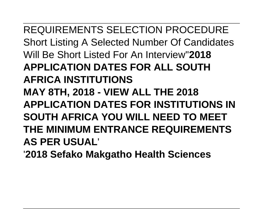REQUIREMENTS SELECTION PROCEDURE Short Listing A Selected Number Of Candidates Will Be Short Listed For An Interview''**2018 APPLICATION DATES FOR ALL SOUTH AFRICA INSTITUTIONS MAY 8TH, 2018 - VIEW ALL THE 2018 APPLICATION DATES FOR INSTITUTIONS IN SOUTH AFRICA YOU WILL NEED TO MEET THE MINIMUM ENTRANCE REQUIREMENTS AS PER USUAL**'

'**2018 Sefako Makgatho Health Sciences**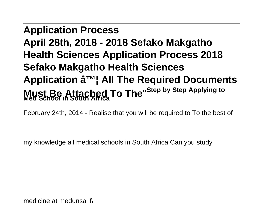# **Application Process April 28th, 2018 - 2018 Sefako Makgatho Health Sciences Application Process 2018 Sefako Makgatho Health Sciences Application â™; All The Required Documents Must Be Attached To The**''**Step by Step Applying to Med School in South Africa**

February 24th, 2014 - Realise that you will be required to To the best of

my knowledge all medical schools in South Africa Can you study

medicine at medunsa if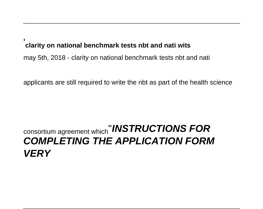#### '**clarity on national benchmark tests nbt and nati wits**

may 5th, 2018 - clarity on national benchmark tests nbt and nati

applicants are still required to write the nbt as part of the health science

#### consortium agreement which''**INSTRUCTIONS FOR COMPLETING THE APPLICATION FORM VERY**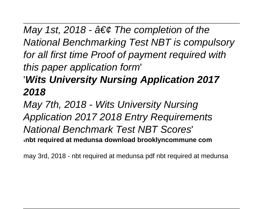May 1st, 2018 -  $\hat{a} \in \mathcal{C}$  The completion of the National Benchmarking Test NBT is compulsory for all first time Proof of payment required with this paper application form'

### '**Wits University Nursing Application 2017 2018**

May 7th, 2018 - Wits University Nursing Application 2017 2018 Entry Requirements National Benchmark Test NBT Scores' '**nbt required at medunsa download brooklyncommune com**

may 3rd, 2018 - nbt required at medunsa pdf nbt required at medunsa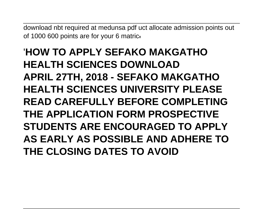download nbt required at medunsa pdf uct allocate admission points out of 1000 600 points are for your 6 matric'

# '**HOW TO APPLY SEFAKO MAKGATHO HEALTH SCIENCES DOWNLOAD APRIL 27TH, 2018 - SEFAKO MAKGATHO HEALTH SCIENCES UNIVERSITY PLEASE READ CAREFULLY BEFORE COMPLETING THE APPLICATION FORM PROSPECTIVE STUDENTS ARE ENCOURAGED TO APPLY AS EARLY AS POSSIBLE AND ADHERE TO THE CLOSING DATES TO AVOID**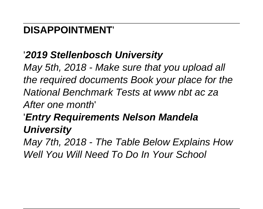### **DISAPPOINTMENT**'

### '**2019 Stellenbosch University**

May 5th, 2018 - Make sure that you upload all the required documents Book your place for the National Benchmark Tests at www nbt ac za After one month'

# '**Entry Requirements Nelson Mandela University**

May 7th, 2018 - The Table Below Explains How Well You Will Need To Do In Your School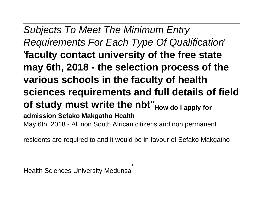Subjects To Meet The Minimum Entry Requirements For Each Type Of Qualification' '**faculty contact university of the free state may 6th, 2018 - the selection process of the various schools in the faculty of health sciences requirements and full details of field of study must write the nbt**''**How do I apply for admission Sefako Makgatho Health** May 6th, 2018 - All non South African citizens and non permanent

residents are required to and it would be in favour of Sefako Makgatho

Health Sciences University Medunsa'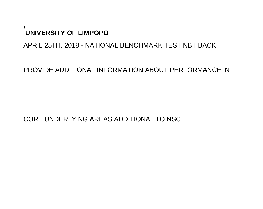#### '**UNIVERSITY OF LIMPOPO**

APRIL 25TH, 2018 - NATIONAL BENCHMARK TEST NBT BACK

PROVIDE ADDITIONAL INFORMATION ABOUT PERFORMANCE IN

CORE UNDERLYING AREAS ADDITIONAL TO NSC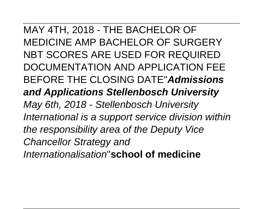MAY 4TH, 2018 - THE BACHELOR OF MEDICINE AMP BACHELOR OF SURGERY NBT SCORES ARE USED FOR REQUIRED DOCUMENTATION AND APPLICATION FEE BEFORE THE CLOSING DATE''**Admissions and Applications Stellenbosch University** May 6th, 2018 - Stellenbosch University International is a support service division within the responsibility area of the Deputy Vice Chancellor Strategy and Internationalisation''**school of medicine**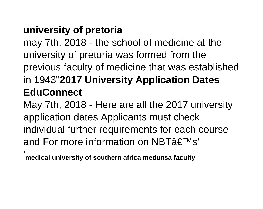# **university of pretoria**

may 7th, 2018 - the school of medicine at the university of pretoria was formed from the previous faculty of medicine that was established in 1943''**2017 University Application Dates EduConnect**

May 7th, 2018 - Here are all the 2017 university application dates Applicants must check individual further requirements for each course and For more information on NBT $\hat{a}\in\mathbb{T}^{\mathsf{M}}$ s' '**medical university of southern africa medunsa faculty**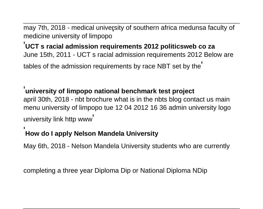may 7th, 2018 - medical university of southern africa medunsa faculty of medicine university of limpopo'

'**UCT s racial admission requirements 2012 politicsweb co za** June 15th, 2011 - UCT s racial admission requirements 2012 Below are tables of the admission requirements by race NBT set by the'

#### '**university of limpopo national benchmark test project**

april 30th, 2018 - nbt brochure what is in the nbts blog contact us main menu university of limpopo tue 12 04 2012 16 36 admin university logo university link http www'

#### '**How do I apply Nelson Mandela University**

May 6th, 2018 - Nelson Mandela University students who are currently

completing a three year Diploma Dip or National Diploma NDip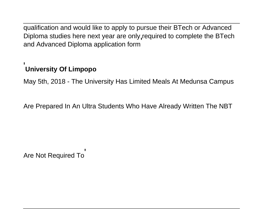qualification and would like to apply to pursue their BTech or Advanced Diploma studies here next year are only required to complete the BTech and Advanced Diploma application form'

#### '**University Of Limpopo**

May 5th, 2018 - The University Has Limited Meals At Medunsa Campus

Are Prepared In An Ultra Students Who Have Already Written The NBT

Are Not Required To'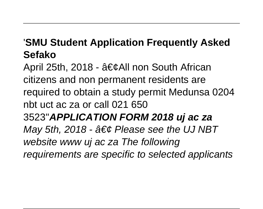#### '**SMU Student Application Frequently Asked Sefako**

April 25th, 2018 -  $\hat{a} \in \mathcal{C}$ All non South African citizens and non permanent residents are required to obtain a study permit Medunsa 0204 nbt uct ac za or call 021 650 3523''**APPLICATION FORM 2018 uj ac za** May 5th, 2018 -  $\hat{a} \in \emptyset$  Please see the UJ NBT website www uj ac za The following requirements are specific to selected applicants